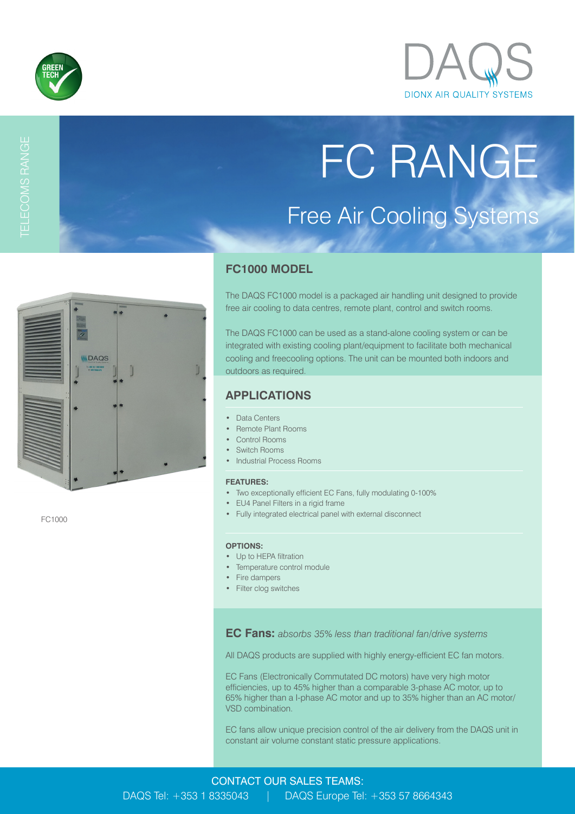



# FC RANGE Free Air Cooling Systems



FC1000

## **FC1000 MODEL**

The DAQS FC1000 model is a packaged air handling unit designed to provide free air cooling to data centres, remote plant, control and switch rooms.

The DAQS FC1000 can be used as a stand-alone cooling system or can be integrated with existing cooling plant/equipment to facilitate both mechanical cooling and freecooling options. The unit can be mounted both indoors and outdoors as required.

# **APPLICATIONS**

- Data Centers
- Remote Plant Rooms
- Control Rooms
- Switch Rooms
- Industrial Process Rooms

#### **FEATURES:**

- Two exceptionally efficient EC Fans, fully modulating 0-100%
- EU4 Panel Filters in a rigid frame
- Fully integrated electrical panel with external disconnect

#### **OPTIONS:**

- Up to HEPA filtration
- Temperature control module
- Fire dampers
- Filter clog switches

**EC Fans:** *absorbs 35% less than traditional fan/drive systems*

All DAQS products are supplied with highly energy-efficient EC fan motors.

EC Fans (Electronically Commutated DC motors) have very high motor efficiencies, up to 45% higher than a comparable 3-phase AC motor, up to 65% higher than a I-phase AC motor and up to 35% higher than an AC motor/ VSD combination.

EC fans allow unique precision control of the air delivery from the DAQS unit in constant air volume constant static pressure applications.